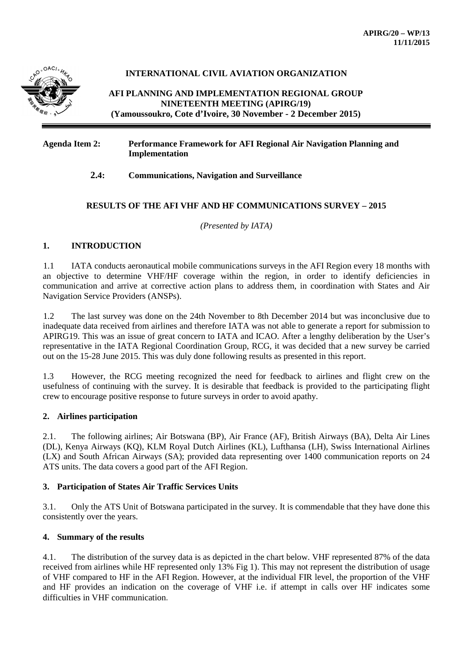

# **INTERNATIONAL CIVIL AVIATION ORGANIZATION**

**AFI PLANNING AND IMPLEMENTATION REGIONAL GROUP NINETEENTH MEETING (APIRG/19) (Yamoussoukro, Cote d'Ivoire, 30 November - 2 December 2015)**

### **Agenda Item 2: Performance Framework for AFI Regional Air Navigation Planning and Implementation**

### **2.4: Communications, Navigation and Surveillance**

# **RESULTS OF THE AFI VHF AND HF COMMUNICATIONS SURVEY – 2015**

*(Presented by IATA)*

### **1. INTRODUCTION**

1.1 IATA conducts aeronautical mobile communications surveys in the AFI Region every 18 months with an objective to determine VHF/HF coverage within the region, in order to identify deficiencies in communication and arrive at corrective action plans to address them, in coordination with States and Air Navigation Service Providers (ANSPs).

1.2 The last survey was done on the 24th November to 8th December 2014 but was inconclusive due to inadequate data received from airlines and therefore IATA was not able to generate a report for submission to APIRG19. This was an issue of great concern to IATA and ICAO. After a lengthy deliberation by the User's representative in the IATA Regional Coordination Group, RCG, it was decided that a new survey be carried out on the 15-28 June 2015. This was duly done following results as presented in this report.

1.3 However, the RCG meeting recognized the need for feedback to airlines and flight crew on the usefulness of continuing with the survey. It is desirable that feedback is provided to the participating flight crew to encourage positive response to future surveys in order to avoid apathy.

### **2. Airlines participation**

2.1. The following airlines; Air Botswana (BP), Air France (AF), British Airways (BA), Delta Air Lines (DL), Kenya Airways (KQ), KLM Royal Dutch Airlines (KL), Lufthansa (LH), Swiss International Airlines (LX) and South African Airways (SA); provided data representing over 1400 communication reports on 24 ATS units. The data covers a good part of the AFI Region.

### **3. Participation of States Air Traffic Services Units**

3.1. Only the ATS Unit of Botswana participated in the survey. It is commendable that they have done this consistently over the years.

### **4. Summary of the results**

4.1. The distribution of the survey data is as depicted in the chart below. VHF represented 87% of the data received from airlines while HF represented only 13% Fig 1). This may not represent the distribution of usage of VHF compared to HF in the AFI Region. However, at the individual FIR level, the proportion of the VHF and HF provides an indication on the coverage of VHF i.e. if attempt in calls over HF indicates some difficulties in VHF communication.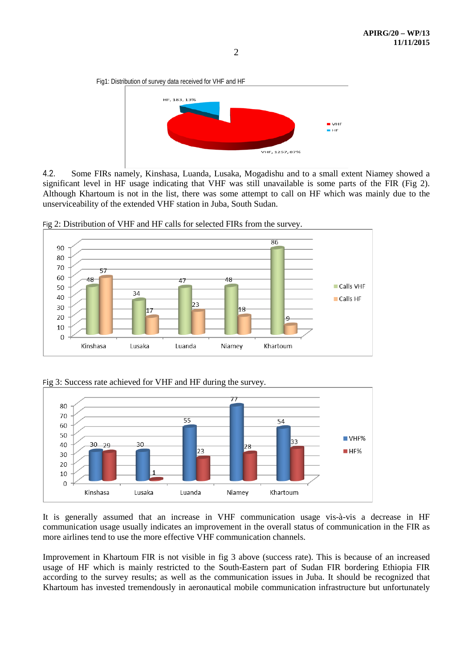Fig1: Distribution of survey data received for VHF and HF HE. 183. 13%  $\blacksquare$  VHF  $H$ FIF VHF, 1257, 87%

4.2. Some FIRs namely, Kinshasa, Luanda, Lusaka, Mogadishu and to a small extent Niamey showed a significant level in HF usage indicating that VHF was still unavailable is some parts of the FIR (Fig 2). Although Khartoum is not in the list, there was some attempt to call on HF which was mainly due to the unserviceability of the extended VHF station in Juba, South Sudan.



Fig 2: Distribution of VHF and HF calls for selected FIRs from the survey.

Fig 3: Success rate achieved for VHF and HF during the survey.



It is generally assumed that an increase in VHF communication usage vis-à-vis a decrease in HF communication usage usually indicates an improvement in the overall status of communication in the FIR as more airlines tend to use the more effective VHF communication channels.

Improvement in Khartoum FIR is not visible in fig 3 above (success rate). This is because of an increased usage of HF which is mainly restricted to the South-Eastern part of Sudan FIR bordering Ethiopia FIR according to the survey results; as well as the communication issues in Juba. It should be recognized that Khartoum has invested tremendously in aeronautical mobile communication infrastructure but unfortunately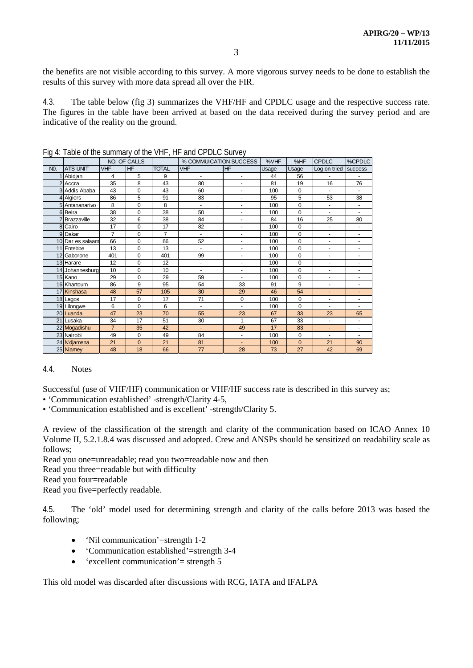the benefits are not visible according to this survey. A more vigorous survey needs to be done to establish the results of this survey with more data spread all over the FIR.

4.3. The table below (fig 3) summarizes the VHF/HF and CPDLC usage and the respective success rate. The figures in the table have been arrived at based on the data received during the survey period and are indicative of the reality on the ground.

|                  |                    | NO. OF CALLS   |             |                | % COMMUICATION SUCCESS       |                          | %VHF  | %HF         | CPDLC                    | %CPDLC                       |
|------------------|--------------------|----------------|-------------|----------------|------------------------------|--------------------------|-------|-------------|--------------------------|------------------------------|
| N <sub>0</sub> . | <b>ATS UNIT</b>    | <b>VHF</b>     | <b>HF</b>   | <b>TOTAL</b>   | <b>VHF</b>                   | <b>HF</b>                | Usage | Usage       | Log on tried             | <b>success</b>               |
|                  | Abidjan            | $\overline{4}$ | 5           | 9              |                              | ٠                        | 44    | 56          |                          |                              |
| $\overline{2}$   | Accra              | 35             | 8           | 43             | 80                           | $\overline{\phantom{a}}$ | 81    | 19          | 16                       | 76                           |
|                  | 3 Addis Ababa      | 43             | 0           | 43             | 60                           | $\overline{\phantom{a}}$ | 100   | $\mathbf 0$ | $\blacksquare$           |                              |
|                  | 4 Algiers          | 86             | 5           | 91             | 83                           | $\overline{\phantom{a}}$ | 95    | 5           | 53                       | 38                           |
|                  | 5 Antananarivo     | 8              | $\Omega$    | 8              | $\overline{\phantom{a}}$     | $\overline{\phantom{a}}$ | 100   | $\Omega$    | $\blacksquare$           | ٠                            |
|                  | 6 Beira            | 38             | 0           | 38             | 50                           | $\blacksquare$           | 100   | $\Omega$    | $\overline{\phantom{a}}$ | $\overline{\phantom{a}}$     |
|                  | <b>Brazzaville</b> | 32             | 6           | 38             | 84                           |                          | 84    | 16          | 25                       | 80                           |
|                  | 8 Cairo            | 17             | $\Omega$    | 17             | 82                           | $\overline{\phantom{a}}$ | 100   | $\Omega$    | $\blacksquare$           | ٠                            |
|                  | 9 Dakar            | $\overline{7}$ | $\Omega$    | $\overline{7}$ | $\blacksquare$               | $\overline{\phantom{a}}$ | 100   | $\mathbf 0$ | $\overline{\phantom{a}}$ | ٠                            |
|                  | 10 Dar es salaam   | 66             | 0           | 66             | 52                           | ۰                        | 100   | $\mathbf 0$ | $\overline{\phantom{a}}$ | ٠                            |
|                  | 11 Entebbe         | 13             | 0           | 13             |                              | $\overline{\phantom{a}}$ | 100   | $\mathbf 0$ | $\overline{\phantom{a}}$ | $\overline{\phantom{0}}$     |
|                  | 12 Gaborone        | 401            | $\Omega$    | 401            | 99                           | $\overline{\phantom{a}}$ | 100   | $\Omega$    | $\overline{\phantom{a}}$ | ٠                            |
|                  | 13 Harare          | 12             | $\Omega$    | 12             | $\overline{\phantom{a}}$     | $\overline{\phantom{a}}$ | 100   | $\Omega$    | $\overline{\phantom{a}}$ | $\overline{\phantom{0}}$     |
|                  | 14 Johannesburg    | 10             | $\Omega$    | 10             | $\qquad \qquad \blacksquare$ | $\overline{\phantom{a}}$ | 100   | $\mathbf 0$ | $\overline{\phantom{a}}$ | ٠                            |
|                  | 15 Kano            | 29             | $\mathbf 0$ | 29             | 59                           | $\overline{\phantom{a}}$ | 100   | $\mathbf 0$ | $\overline{\phantom{a}}$ | ٠                            |
|                  | 16 Khartoum        | 86             | 9           | 95             | 54                           | 33                       | 91    | 9           | ä,                       | ٠                            |
|                  | 17 Kinshasa        | 48             | 57          | 105            | 30                           | 29                       | 46    | 54          | $\blacksquare$           | ٠                            |
|                  | 18 Lagos           | 17             | 0           | 17             | 71                           | $\mathbf 0$              | 100   | $\mathbf 0$ |                          | $\qquad \qquad \blacksquare$ |
|                  | 19 Lilongwe        | 6              | $\Omega$    | 6              | $\blacksquare$               | $\overline{\phantom{a}}$ | 100   | $\Omega$    | ä,                       | ٠                            |
|                  | 20 Luanda          | 47             | 23          | 70             | 55                           | 23                       | 67    | 33          | 23                       | 65                           |
|                  | 21 Lusaka          | 34             | 17          | 51             | 30                           | $\mathbf{1}$             | 67    | 33          | $\overline{\phantom{a}}$ | $\overline{\phantom{a}}$     |
|                  | 22 Mogadishu       | $\overline{7}$ | 35          | 42             |                              | 49                       | 17    | 83          | ٠                        | $\qquad \qquad \blacksquare$ |
|                  | 23 Nairobi         | 49             | $\Omega$    | 49             | 84                           | $\blacksquare$           | 100   | $\mathbf 0$ | $\overline{\phantom{a}}$ | ٠                            |
|                  | 24 N'diamena       | 21             | $\Omega$    | 21             | 81                           | $\overline{\phantom{a}}$ | 100   | $\Omega$    | 21                       | 90                           |
|                  | 25 Niamey          | 48             | 18          | 66             | 77                           | 28                       | 73    | 27          | 42                       | 69                           |

Fig 4: Table of the summary of the VHF, HF and CPDLC Survey

### 4.4. Notes

Successful (use of VHF/HF) communication or VHF/HF success rate is described in this survey as;

• 'Communication established' -strength/Clarity 4-5,

• 'Communication established and is excellent' -strength/Clarity 5.

A review of the classification of the strength and clarity of the communication based on ICAO Annex 10 Volume II, 5.2.1.8.4 was discussed and adopted. Crew and ANSPs should be sensitized on readability scale as follows;

Read you one=unreadable; read you two=readable now and then

Read you three=readable but with difficulty

Read you four=readable

Read you five=perfectly readable.

4.5. The 'old' model used for determining strength and clarity of the calls before 2013 was based the following;

- 'Nil communication'=strength 1-2
- 'Communication established'=strength 3-4
- 'excellent communication' = strength  $5$

This old model was discarded after discussions with RCG, IATA and IFALPA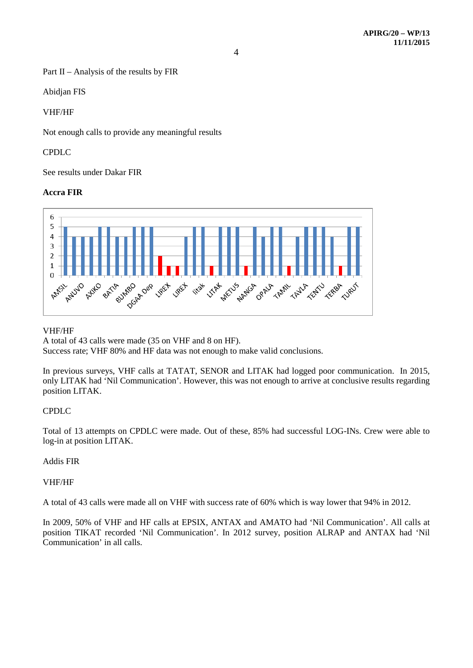Part II – Analysis of the results by FIR

Abidjan FIS

### VHF/HF

Not enough calls to provide any meaningful results

### CPDLC

See results under Dakar FIR

### **Accra FIR**



### VHF/HF

A total of 43 calls were made (35 on VHF and 8 on HF).

Success rate; VHF 80% and HF data was not enough to make valid conclusions.

In previous surveys, VHF calls at TATAT, SENOR and LITAK had logged poor communication. In 2015, only LITAK had 'Nil Communication'. However, this was not enough to arrive at conclusive results regarding position LITAK.

# CPDLC

Total of 13 attempts on CPDLC were made. Out of these, 85% had successful LOG-INs. Crew were able to log-in at position LITAK.

# Addis FIR

### VHF/HF

A total of 43 calls were made all on VHF with success rate of 60% which is way lower that 94% in 2012.

In 2009, 50% of VHF and HF calls at EPSIX, ANTAX and AMATO had 'Nil Communication'. All calls at position TIKAT recorded 'Nil Communication'. In 2012 survey, position ALRAP and ANTAX had 'Nil Communication' in all calls.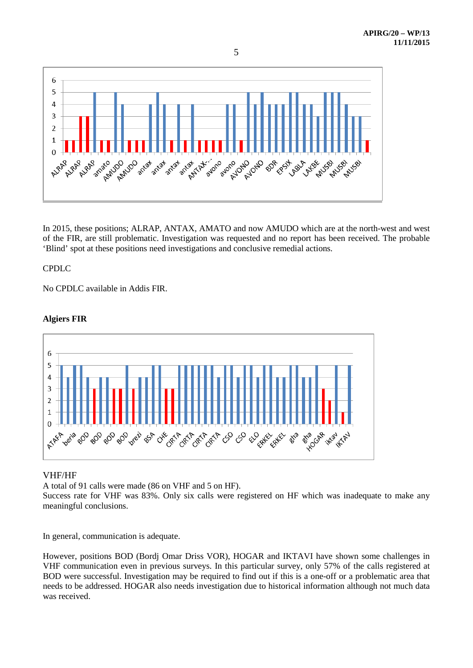

In 2015, these positions; ALRAP, ANTAX, AMATO and now AMUDO which are at the north-west and west of the FIR, are still problematic. Investigation was requested and no report has been received. The probable 'Blind' spot at these positions need investigations and conclusive remedial actions.

### CPDLC

No CPDLC available in Addis FIR.

# **Algiers FIR**



# VHF/HF

A total of 91 calls were made (86 on VHF and 5 on HF).

Success rate for VHF was 83%. Only six calls were registered on HF which was inadequate to make any meaningful conclusions.

In general, communication is adequate.

However, positions BOD (Bordj Omar Driss VOR), HOGAR and IKTAVI have shown some challenges in VHF communication even in previous surveys. In this particular survey, only 57% of the calls registered at BOD were successful. Investigation may be required to find out if this is a one-off or a problematic area that needs to be addressed. HOGAR also needs investigation due to historical information although not much data was received.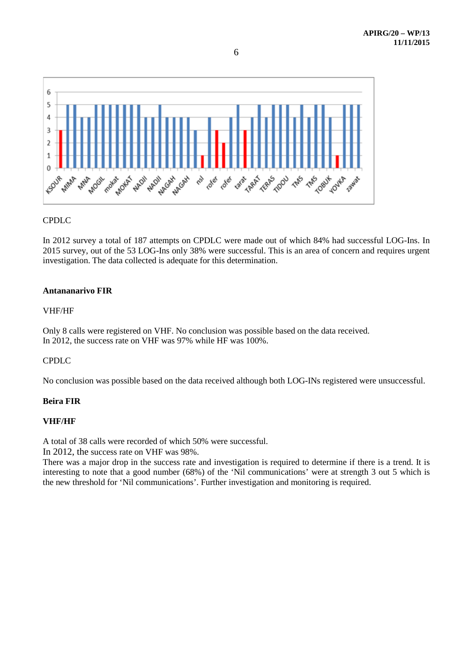

# CPDLC

In 2012 survey a total of 187 attempts on CPDLC were made out of which 84% had successful LOG-Ins. In 2015 survey, out of the 53 LOG-Ins only 38% were successful. This is an area of concern and requires urgent investigation. The data collected is adequate for this determination.

# **Antananarivo FIR**

### VHF/HF

Only 8 calls were registered on VHF. No conclusion was possible based on the data received. In 2012, the success rate on VHF was 97% while HF was 100%.

# CPDLC

No conclusion was possible based on the data received although both LOG-INs registered were unsuccessful.

# **Beira FIR**

# **VHF/HF**

A total of 38 calls were recorded of which 50% were successful.

In 2012, the success rate on VHF was 98%.

There was a major drop in the success rate and investigation is required to determine if there is a trend. It is interesting to note that a good number (68%) of the 'Nil communications' were at strength 3 out 5 which is the new threshold for 'Nil communications'. Further investigation and monitoring is required.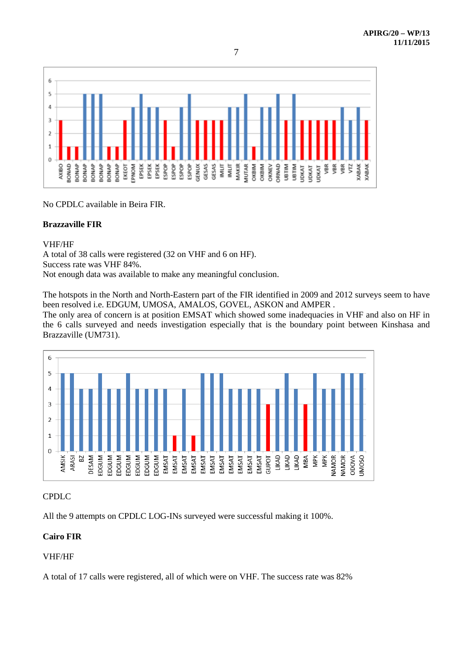

No CPDLC available in Beira FIR.

# **Brazzaville FIR**

### VHF/HF

A total of 38 calls were registered (32 on VHF and 6 on HF).

Success rate was VHF 84%.

Not enough data was available to make any meaningful conclusion.

The hotspots in the North and North-Eastern part of the FIR identified in 2009 and 2012 surveys seem to have been resolved i.e. EDGUM, UMOSA, AMALOS, GOVEL, ASKON and AMPER .

The only area of concern is at position EMSAT which showed some inadequacies in VHF and also on HF in the 6 calls surveyed and needs investigation especially that is the boundary point between Kinshasa and Brazzaville (UM731).



# CPDLC

All the 9 attempts on CPDLC LOG-INs surveyed were successful making it 100%.

# **Cairo FIR**

# VHF/HF

A total of 17 calls were registered, all of which were on VHF. The success rate was 82%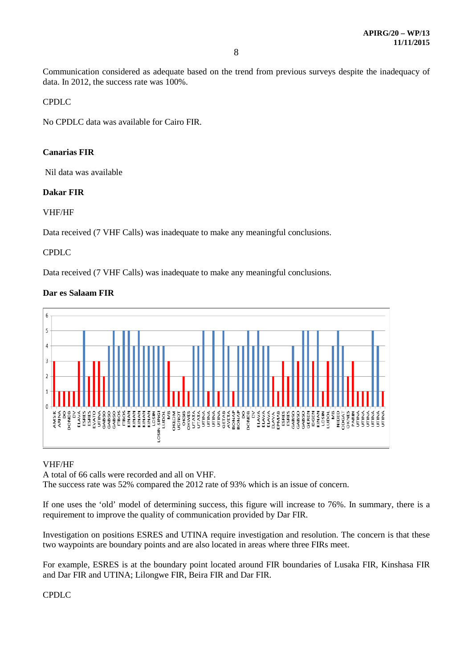Communication considered as adequate based on the trend from previous surveys despite the inadequacy of data. In 2012, the success rate was 100%.

CPDLC

No CPDLC data was available for Cairo FIR.

# **Canarias FIR**

Nil data was available

### **Dakar FIR**

### VHF/HF

Data received (7 VHF Calls) was inadequate to make any meaningful conclusions.

### CPDLC

Data received (7 VHF Calls) was inadequate to make any meaningful conclusions.

# **Dar es Salaam FIR**



### VHF/HF

A total of 66 calls were recorded and all on VHF.

The success rate was 52% compared the 2012 rate of 93% which is an issue of concern.

If one uses the 'old' model of determining success, this figure will increase to 76%. In summary, there is a requirement to improve the quality of communication provided by Dar FIR.

Investigation on positions ESRES and UTINA require investigation and resolution. The concern is that these two waypoints are boundary points and are also located in areas where three FIRs meet.

For example, ESRES is at the boundary point located around FIR boundaries of Lusaka FIR, Kinshasa FIR and Dar FIR and UTINA; Lilongwe FIR, Beira FIR and Dar FIR.

CPDLC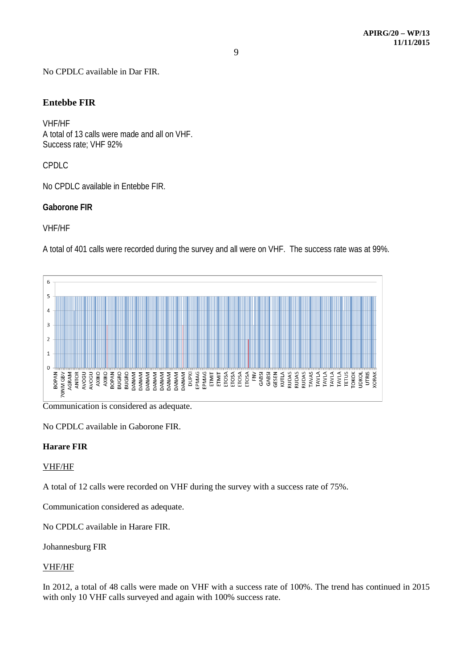No CPDLC available in Dar FIR.

# **Entebbe FIR**

VHF/HF A total of 13 calls were made and all on VHF. Success rate; VHF 92%

CPDLC

No CPDLC available in Entebbe FIR.

# **Gaborone FIR**

# VHF/HF

A total of 401 calls were recorded during the survey and all were on VHF. The success rate was at 99%.



Communication is considered as adequate.

No CPDLC available in Gaborone FIR.

# **Harare FIR**

# VHF/HF

A total of 12 calls were recorded on VHF during the survey with a success rate of 75%.

Communication considered as adequate.

No CPDLC available in Harare FIR.

Johannesburg FIR

# VHF/HF

In 2012, a total of 48 calls were made on VHF with a success rate of 100%. The trend has continued in 2015 with only 10 VHF calls surveyed and again with 100% success rate.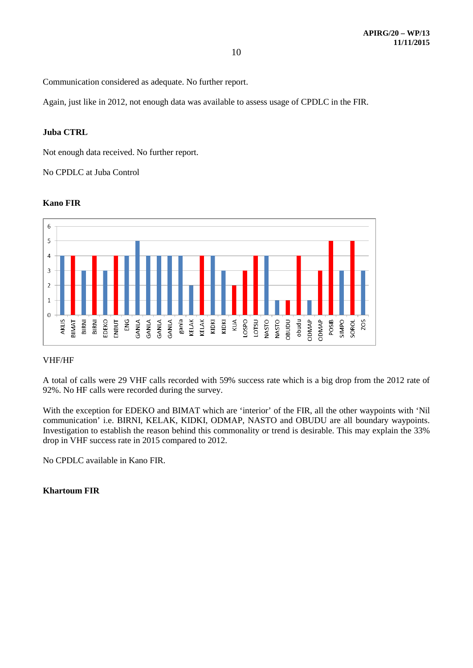Communication considered as adequate. No further report.

Again, just like in 2012, not enough data was available to assess usage of CPDLC in the FIR.

### **Juba CTRL**

Not enough data received. No further report.

No CPDLC at Juba Control

### **Kano FIR**



### VHF/HF

A total of calls were 29 VHF calls recorded with 59% success rate which is a big drop from the 2012 rate of 92%. No HF calls were recorded during the survey.

With the exception for EDEKO and BIMAT which are 'interior' of the FIR, all the other waypoints with 'Nil communication' i.e. BIRNI, KELAK, KIDKI, ODMAP, NASTO and OBUDU are all boundary waypoints. Investigation to establish the reason behind this commonality or trend is desirable. This may explain the 33% drop in VHF success rate in 2015 compared to 2012.

No CPDLC available in Kano FIR.

# **Khartoum FIR**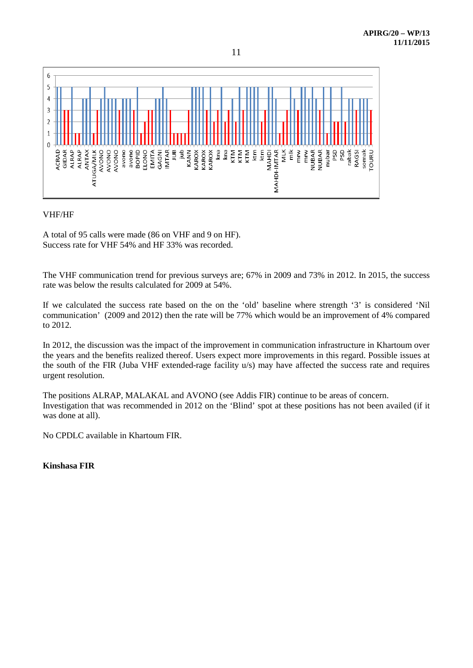

### VHF/HF

A total of 95 calls were made (86 on VHF and 9 on HF). Success rate for VHF 54% and HF 33% was recorded.

The VHF communication trend for previous surveys are; 67% in 2009 and 73% in 2012. In 2015, the success rate was below the results calculated for 2009 at 54%.

If we calculated the success rate based on the on the 'old' baseline where strength '3' is considered 'Nil communication' (2009 and 2012) then the rate will be 77% which would be an improvement of 4% compared to 2012.

In 2012, the discussion was the impact of the improvement in communication infrastructure in Khartoum over the years and the benefits realized thereof. Users expect more improvements in this regard. Possible issues at the south of the FIR (Juba VHF extended-rage facility u/s) may have affected the success rate and requires urgent resolution.

The positions ALRAP, MALAKAL and AVONO (see Addis FIR) continue to be areas of concern. Investigation that was recommended in 2012 on the 'Blind' spot at these positions has not been availed (if it was done at all).

No CPDLC available in Khartoum FIR.

**Kinshasa FIR**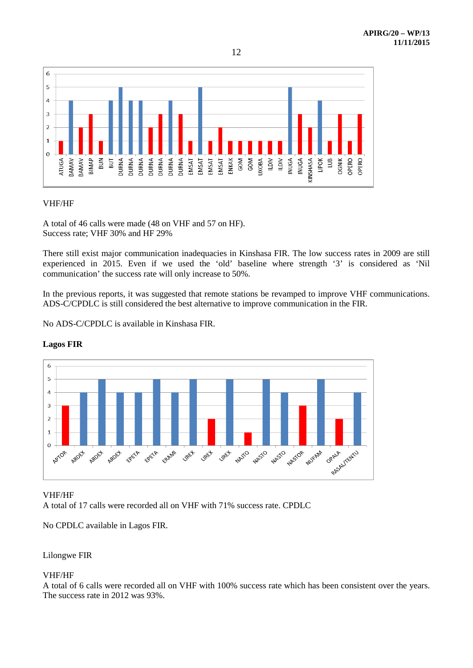

### VHF/HF

A total of 46 calls were made (48 on VHF and 57 on HF). Success rate; VHF 30% and HF 29%

There still exist major communication inadequacies in Kinshasa FIR. The low success rates in 2009 are still experienced in 2015. Even if we used the 'old' baseline where strength '3' is considered as 'Nil communication' the success rate will only increase to 50%.

In the previous reports, it was suggested that remote stations be revamped to improve VHF communications. ADS-C/CPDLC is still considered the best alternative to improve communication in the FIR.

No ADS-C/CPDLC is available in Kinshasa FIR.



# **Lagos FIR**

### VHF/HF

A total of 17 calls were recorded all on VHF with 71% success rate. CPDLC

No CPDLC available in Lagos FIR.

# Lilongwe FIR

# VHF/HF

A total of 6 calls were recorded all on VHF with 100% success rate which has been consistent over the years. The success rate in 2012 was 93%.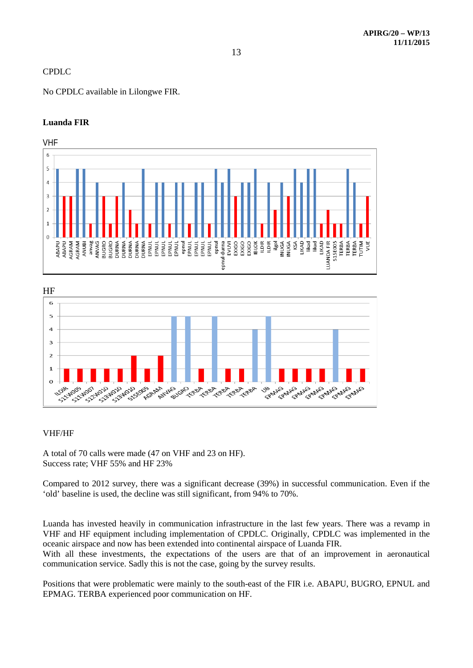# CPDLC

No CPDLC available in Lilongwe FIR.

# **Luanda FIR**





### VHF/HF

A total of 70 calls were made (47 on VHF and 23 on HF). Success rate; VHF 55% and HF 23%

Compared to 2012 survey, there was a significant decrease (39%) in successful communication. Even if the 'old' baseline is used, the decline was still significant, from 94% to 70%.

Luanda has invested heavily in communication infrastructure in the last few years. There was a revamp in VHF and HF equipment including implementation of CPDLC. Originally, CPDLC was implemented in the oceanic airspace and now has been extended into continental airspace of Luanda FIR.

With all these investments, the expectations of the users are that of an improvement in aeronautical communication service. Sadly this is not the case, going by the survey results.

Positions that were problematic were mainly to the south-east of the FIR i.e. ABAPU, BUGRO, EPNUL and EPMAG. TERBA experienced poor communication on HF.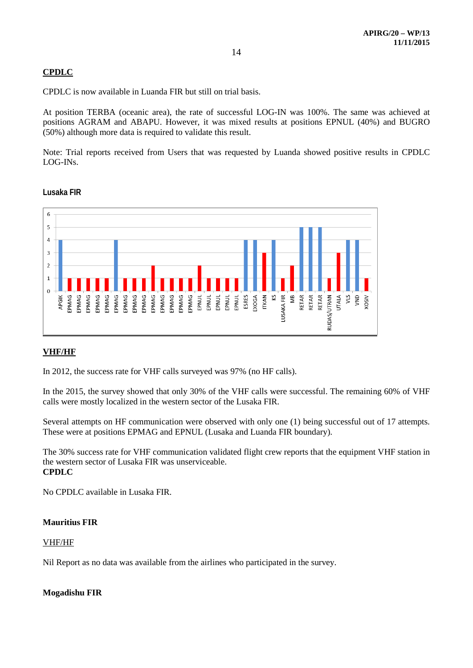# **CPDLC**

CPDLC is now available in Luanda FIR but still on trial basis.

At position TERBA (oceanic area), the rate of successful LOG-IN was 100%. The same was achieved at positions AGRAM and ABAPU. However, it was mixed results at positions EPNUL (40%) and BUGRO (50%) although more data is required to validate this result.

Note: Trial reports received from Users that was requested by Luanda showed positive results in CPDLC LOG-INs.



### **Lusaka FIR**

# **VHF/HF**

In 2012, the success rate for VHF calls surveyed was 97% (no HF calls).

In the 2015, the survey showed that only 30% of the VHF calls were successful. The remaining 60% of VHF calls were mostly localized in the western sector of the Lusaka FIR.

Several attempts on HF communication were observed with only one (1) being successful out of 17 attempts. These were at positions EPMAG and EPNUL (Lusaka and Luanda FIR boundary).

The 30% success rate for VHF communication validated flight crew reports that the equipment VHF station in the western sector of Lusaka FIR was unserviceable. **CPDLC**

No CPDLC available in Lusaka FIR.

### **Mauritius FIR**

### VHF/HF

Nil Report as no data was available from the airlines who participated in the survey.

### **Mogadishu FIR**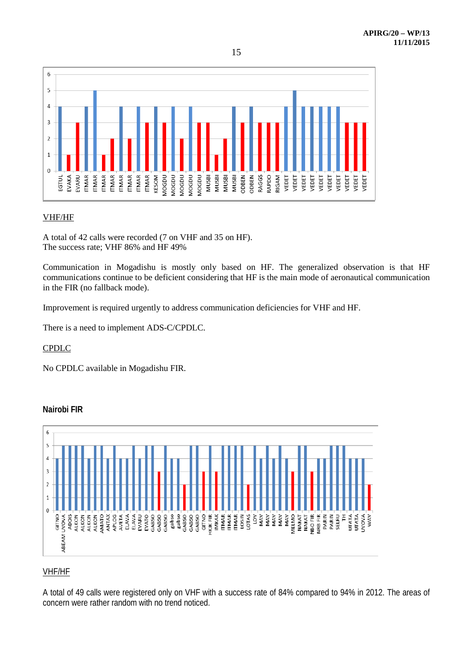

# VHF/HF

A total of 42 calls were recorded (7 on VHF and 35 on HF). The success rate; VHF 86% and HF 49%

Communication in Mogadishu is mostly only based on HF. The generalized observation is that HF communications continue to be deficient considering that HF is the main mode of aeronautical communication in the FIR (no fallback mode).

Improvement is required urgently to address communication deficiencies for VHF and HF.

There is a need to implement ADS-C/CPDLC.

# CPDLC

No CPDLC available in Mogadishu FIR.



# **Nairobi FIR**

# VHF/HF

A total of 49 calls were registered only on VHF with a success rate of 84% compared to 94% in 2012. The areas of concern were rather random with no trend noticed.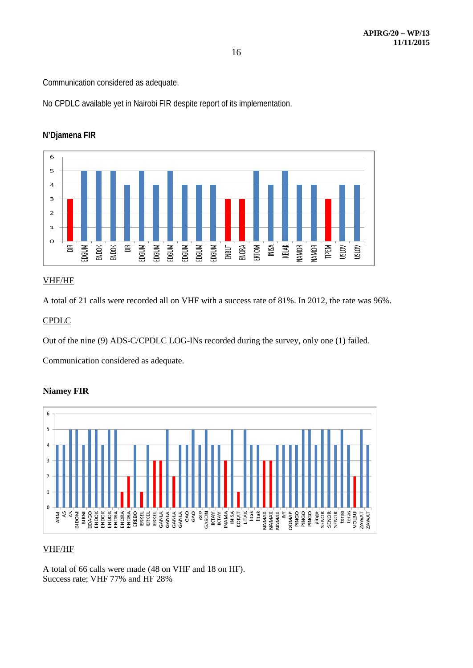Communication considered as adequate.

No CPDLC available yet in Nairobi FIR despite report of its implementation.



# **N'Djamena FIR**

# VHF/HF

A total of 21 calls were recorded all on VHF with a success rate of 81%. In 2012, the rate was 96%.

# CPDLC

Out of the nine (9) ADS-C/CPDLC LOG-INs recorded during the survey, only one (1) failed.

Communication considered as adequate.

# **Niamey FIR**



# VHF/HF

A total of 66 calls were made (48 on VHF and 18 on HF). Success rate; VHF 77% and HF 28%